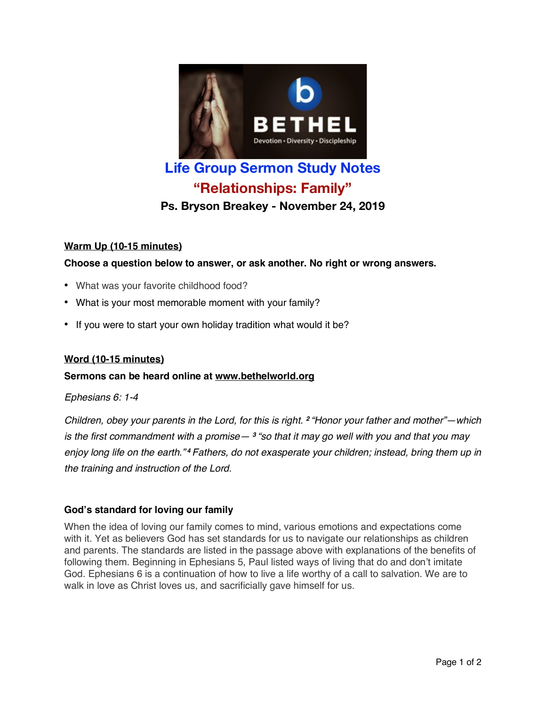

# **"Relationships: Family"**

**Ps. Bryson Breakey - November 24, 2019**

# **Warm Up (10-15 minutes)**

**Choose a question below to answer, or ask another. No right or wrong answers.**

- What was your favorite childhood food?
- What is your most memorable moment with your family?
- If you were to start your own holiday tradition what would it be?

# **Word (10-15 minutes)**

# **Sermons can be heard online at www.bethelworld.org**

### *Ephesians 6: 1-4*

*Children, obey your parents in the Lord, for this is right. <sup>2</sup> "Honor your father and mother"—which is the first commandment with a promise— <sup>3</sup> "so that it may go well with you and that you may enjoy long life on the earth." <sup>4</sup> Fathers, do not exasperate your children; instead, bring them up in the training and instruction of the Lord.*

# **God's standard for loving our family**

When the idea of loving our family comes to mind, various emotions and expectations come with it. Yet as believers God has set standards for us to navigate our relationships as children and parents. The standards are listed in the passage above with explanations of the benefits of following them. Beginning in Ephesians 5, Paul listed ways of living that do and don't imitate God. Ephesians 6 is a continuation of how to live a life worthy of a call to salvation. We are to walk in love as Christ loves us, and sacrificially gave himself for us.